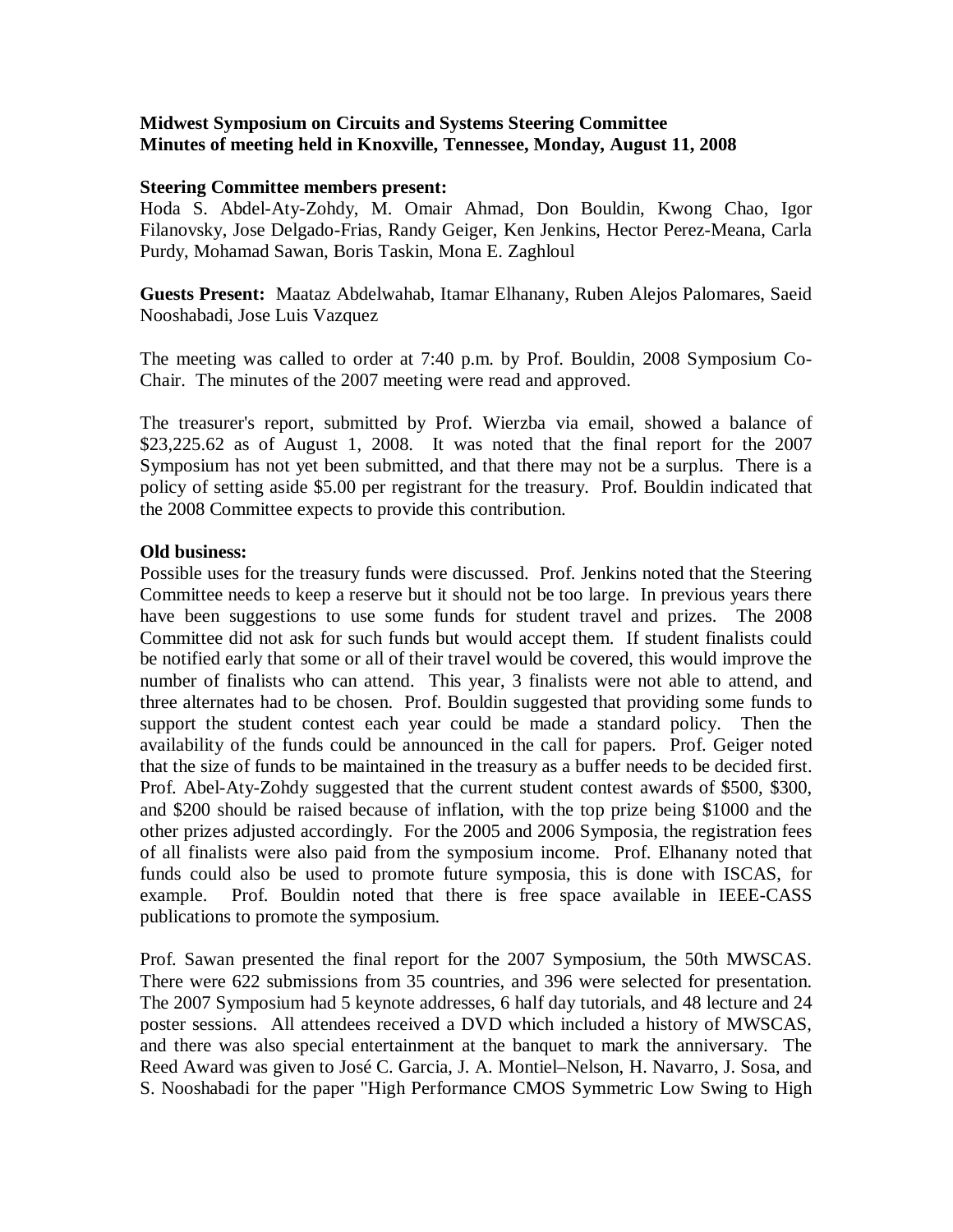## **Midwest Symposium on Circuits and Systems Steering Committee Minutes of meeting held in Knoxville, Tennessee, Monday, August 11, 2008**

## **Steering Committee members present:**

Hoda S. Abdel-Aty-Zohdy, M. Omair Ahmad, Don Bouldin, Kwong Chao, Igor Filanovsky, Jose Delgado-Frias, Randy Geiger, Ken Jenkins, Hector Perez-Meana, Carla Purdy, Mohamad Sawan, Boris Taskin, Mona E. Zaghloul

**Guests Present:** Maataz Abdelwahab, Itamar Elhanany, Ruben Alejos Palomares, Saeid Nooshabadi, Jose Luis Vazquez

The meeting was called to order at 7:40 p.m. by Prof. Bouldin, 2008 Symposium Co-Chair. The minutes of the 2007 meeting were read and approved.

The treasurer's report, submitted by Prof. Wierzba via email, showed a balance of \$23,225.62 as of August 1, 2008. It was noted that the final report for the 2007 Symposium has not yet been submitted, and that there may not be a surplus. There is a policy of setting aside \$5.00 per registrant for the treasury. Prof. Bouldin indicated that the 2008 Committee expects to provide this contribution.

## **Old business:**

Possible uses for the treasury funds were discussed. Prof. Jenkins noted that the Steering Committee needs to keep a reserve but it should not be too large. In previous years there have been suggestions to use some funds for student travel and prizes. The 2008 Committee did not ask for such funds but would accept them. If student finalists could be notified early that some or all of their travel would be covered, this would improve the number of finalists who can attend. This year, 3 finalists were not able to attend, and three alternates had to be chosen. Prof. Bouldin suggested that providing some funds to support the student contest each year could be made a standard policy. Then the availability of the funds could be announced in the call for papers. Prof. Geiger noted that the size of funds to be maintained in the treasury as a buffer needs to be decided first. Prof. Abel-Aty-Zohdy suggested that the current student contest awards of \$500, \$300, and \$200 should be raised because of inflation, with the top prize being \$1000 and the other prizes adjusted accordingly. For the 2005 and 2006 Symposia, the registration fees of all finalists were also paid from the symposium income. Prof. Elhanany noted that funds could also be used to promote future symposia, this is done with ISCAS, for example. Prof. Bouldin noted that there is free space available in IEEE-CASS publications to promote the symposium.

Prof. Sawan presented the final report for the 2007 Symposium, the 50th MWSCAS. There were 622 submissions from 35 countries, and 396 were selected for presentation. The 2007 Symposium had 5 keynote addresses, 6 half day tutorials, and 48 lecture and 24 poster sessions. All attendees received a DVD which included a history of MWSCAS, and there was also special entertainment at the banquet to mark the anniversary. The Reed Award was given to José C. Garcia, J. A. Montiel–Nelson, H. Navarro, J. Sosa, and S. Nooshabadi for the paper "High Performance CMOS Symmetric Low Swing to High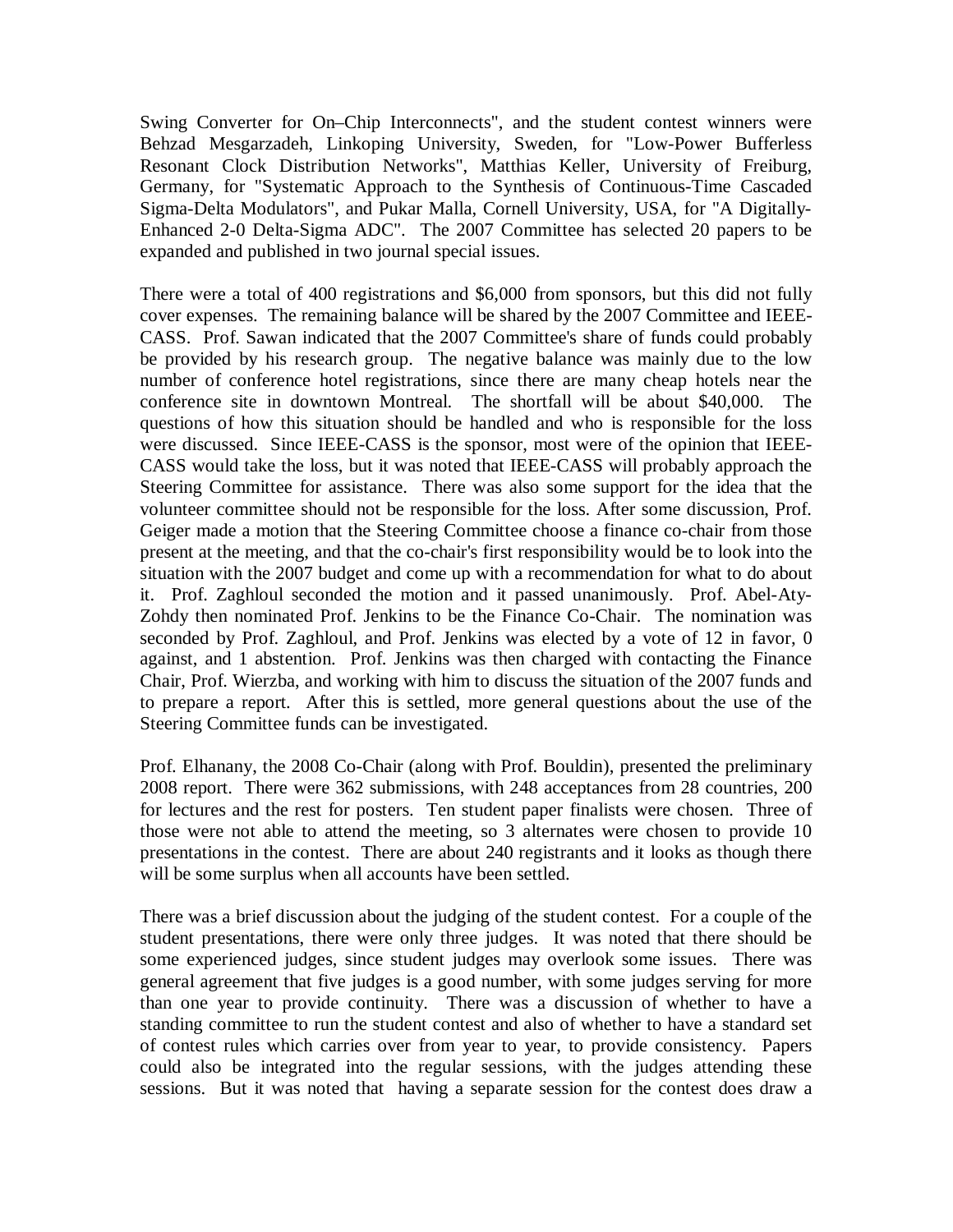Swing Converter for On–Chip Interconnects", and the student contest winners were Behzad Mesgarzadeh, Linkoping University, Sweden, for "Low-Power Bufferless Resonant Clock Distribution Networks", Matthias Keller, University of Freiburg, Germany, for "Systematic Approach to the Synthesis of Continuous-Time Cascaded Sigma-Delta Modulators", and Pukar Malla, Cornell University, USA, for "A Digitally-Enhanced 2-0 Delta-Sigma ADC". The 2007 Committee has selected 20 papers to be expanded and published in two journal special issues.

There were a total of 400 registrations and \$6,000 from sponsors, but this did not fully cover expenses. The remaining balance will be shared by the 2007 Committee and IEEE-CASS. Prof. Sawan indicated that the 2007 Committee's share of funds could probably be provided by his research group. The negative balance was mainly due to the low number of conference hotel registrations, since there are many cheap hotels near the conference site in downtown Montreal. The shortfall will be about \$40,000. The questions of how this situation should be handled and who is responsible for the loss were discussed. Since IEEE-CASS is the sponsor, most were of the opinion that IEEE-CASS would take the loss, but it was noted that IEEE-CASS will probably approach the Steering Committee for assistance. There was also some support for the idea that the volunteer committee should not be responsible for the loss. After some discussion, Prof. Geiger made a motion that the Steering Committee choose a finance co-chair from those present at the meeting, and that the co-chair's first responsibility would be to look into the situation with the 2007 budget and come up with a recommendation for what to do about it. Prof. Zaghloul seconded the motion and it passed unanimously. Prof. Abel-Aty-Zohdy then nominated Prof. Jenkins to be the Finance Co-Chair. The nomination was seconded by Prof. Zaghloul, and Prof. Jenkins was elected by a vote of 12 in favor, 0 against, and 1 abstention. Prof. Jenkins was then charged with contacting the Finance Chair, Prof. Wierzba, and working with him to discuss the situation of the 2007 funds and to prepare a report. After this is settled, more general questions about the use of the Steering Committee funds can be investigated.

Prof. Elhanany, the 2008 Co-Chair (along with Prof. Bouldin), presented the preliminary 2008 report. There were 362 submissions, with 248 acceptances from 28 countries, 200 for lectures and the rest for posters. Ten student paper finalists were chosen. Three of those were not able to attend the meeting, so 3 alternates were chosen to provide 10 presentations in the contest. There are about 240 registrants and it looks as though there will be some surplus when all accounts have been settled.

There was a brief discussion about the judging of the student contest. For a couple of the student presentations, there were only three judges. It was noted that there should be some experienced judges, since student judges may overlook some issues. There was general agreement that five judges is a good number, with some judges serving for more than one year to provide continuity. There was a discussion of whether to have a standing committee to run the student contest and also of whether to have a standard set of contest rules which carries over from year to year, to provide consistency. Papers could also be integrated into the regular sessions, with the judges attending these sessions. But it was noted that having a separate session for the contest does draw a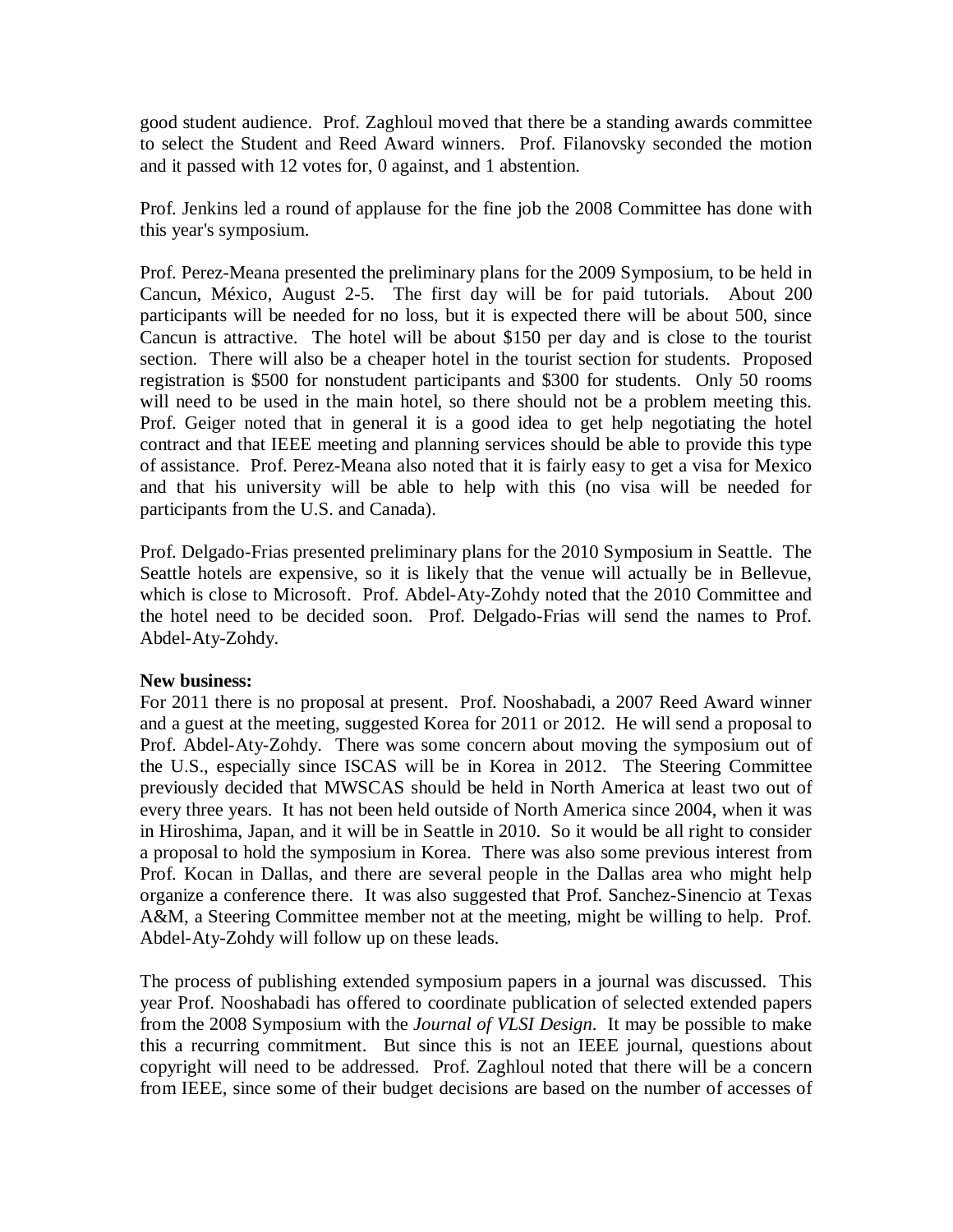good student audience. Prof. Zaghloul moved that there be a standing awards committee to select the Student and Reed Award winners. Prof. Filanovsky seconded the motion and it passed with 12 votes for, 0 against, and 1 abstention.

Prof. Jenkins led a round of applause for the fine job the 2008 Committee has done with this year's symposium.

Prof. Perez-Meana presented the preliminary plans for the 2009 Symposium, to be held in Cancun, México, August 2-5. The first day will be for paid tutorials. About 200 participants will be needed for no loss, but it is expected there will be about 500, since Cancun is attractive. The hotel will be about \$150 per day and is close to the tourist section. There will also be a cheaper hotel in the tourist section for students. Proposed registration is \$500 for nonstudent participants and \$300 for students. Only 50 rooms will need to be used in the main hotel, so there should not be a problem meeting this. Prof. Geiger noted that in general it is a good idea to get help negotiating the hotel contract and that IEEE meeting and planning services should be able to provide this type of assistance. Prof. Perez-Meana also noted that it is fairly easy to get a visa for Mexico and that his university will be able to help with this (no visa will be needed for participants from the U.S. and Canada).

Prof. Delgado-Frias presented preliminary plans for the 2010 Symposium in Seattle. The Seattle hotels are expensive, so it is likely that the venue will actually be in Bellevue, which is close to Microsoft. Prof. Abdel-Aty-Zohdy noted that the 2010 Committee and the hotel need to be decided soon. Prof. Delgado-Frias will send the names to Prof. Abdel-Aty-Zohdy.

## **New business:**

For 2011 there is no proposal at present. Prof. Nooshabadi, a 2007 Reed Award winner and a guest at the meeting, suggested Korea for 2011 or 2012. He will send a proposal to Prof. Abdel-Aty-Zohdy. There was some concern about moving the symposium out of the U.S., especially since ISCAS will be in Korea in 2012. The Steering Committee previously decided that MWSCAS should be held in North America at least two out of every three years. It has not been held outside of North America since 2004, when it was in Hiroshima, Japan, and it will be in Seattle in 2010. So it would be all right to consider a proposal to hold the symposium in Korea. There was also some previous interest from Prof. Kocan in Dallas, and there are several people in the Dallas area who might help organize a conference there. It was also suggested that Prof. Sanchez-Sinencio at Texas A&M, a Steering Committee member not at the meeting, might be willing to help. Prof. Abdel-Aty-Zohdy will follow up on these leads.

The process of publishing extended symposium papers in a journal was discussed. This year Prof. Nooshabadi has offered to coordinate publication of selected extended papers from the 2008 Symposium with the *Journal of VLSI Design*. It may be possible to make this a recurring commitment. But since this is not an IEEE journal, questions about copyright will need to be addressed. Prof. Zaghloul noted that there will be a concern from IEEE, since some of their budget decisions are based on the number of accesses of